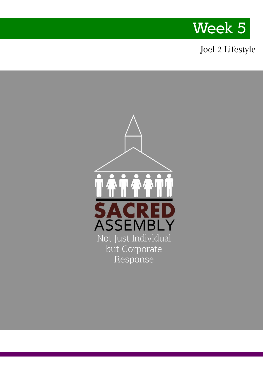

### Joel 2 Lifestyle

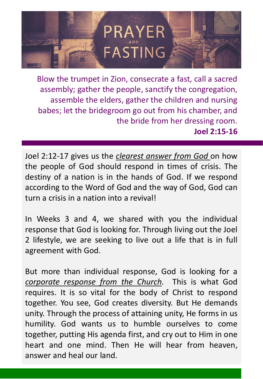

Blow the trumpet in Zion, consecrate a fast, call a sacred assembly; gather the people, sanctify the congregation, assemble the elders, gather the children and nursing babes; let the bridegroom go out from his chamber, and the bride from her dressing room. **Joel 2:15-16** 

Joel 2:12-17 gives us the *clearest answer from God* on how the people of God should respond in times of crisis. The destiny of a nation is in the hands of God. If we respond according to the Word of God and the way of God, God can turn a crisis in a nation into a revival!

In Weeks 3 and 4, we shared with you the individual response that God is looking for. Through living out the Joel 2 lifestyle, we are seeking to live out a life that is in full agreement with God.

But more than individual response, God is looking for a *corporate response from the Church.* This is what God requires. It is so vital for the body of Christ to respond together. You see, God creates diversity. But He demands unity. Through the process of attaining unity, He forms in us humility. God wants us to humble ourselves to come together, putting His agenda first, and cry out to Him in one heart and one mind. Then He will hear from heaven, answer and heal our land.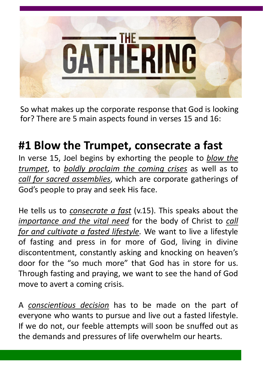

So what makes up the corporate response that God is looking for? There are 5 main aspects found in verses 15 and 16:

# **#1 Blow the Trumpet, consecrate a fast**

In verse 15, Joel begins by exhorting the people to *blow the trumpet*, to *boldly proclaim the coming crises* as well as to *call for sacred assemblies*, which are corporate gatherings of God's people to pray and seek His face.

He tells us to *consecrate a fast* (v.15). This speaks about the *importance and the vital need* for the body of Christ to *call for and cultivate a fasted lifestyle*. We want to live a lifestyle of fasting and press in for more of God, living in divine discontentment, constantly asking and knocking on heaven's door for the "so much more" that God has in store for us. Through fasting and praying, we want to see the hand of God move to avert a coming crisis.

A *conscientious decision* has to be made on the part of everyone who wants to pursue and live out a fasted lifestyle. If we do not, our feeble attempts will soon be snuffed out as the demands and pressures of life overwhelm our hearts.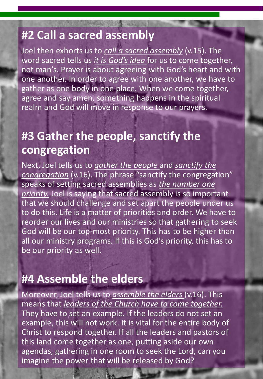### **#2 Call a sacred assembly**

Joel then exhorts us to *call a sacred assembly* (v.15). The word sacred tells us *it is God's idea* for us to come together, not man's. Prayer is about agreeing with God's heart and with one another. In order to agree with one another, we have to gather as one body in one place. When we come together, agree and say amen, something happens in the spiritual realm and God will move in response to our prayers.

## **#3 Gather the people, sanctify the congregation**

Next, Joel tells us to *gather the people* and *sanctify the congregation* (v.16). The phrase "sanctify the congregation" speaks of setting sacred assemblies as *the number one priority.* Joel is saying that sacred assembly is so important that we should challenge and set apart the people under us to do this. Life is a matter of priorities and order. We have to reorder our lives and our ministries so that gathering to seek God will be our top-most priority. This has to be higher than all our ministry programs. If this is God's priority, this has to be our priority as well.

## **#4 Assemble the elders**

Moreover, Joel tells us to *assemble the elders* (v.16). This means that *leaders of the Church have to come together.* They have to set an example. If the leaders do not set an example, this will not work. It is vital for the entire body of Christ to respond together. If all the leaders and pastors of this land come together as one, putting aside our own agendas, gathering in one room to seek the Lord, can you imagine the power that will be released by God?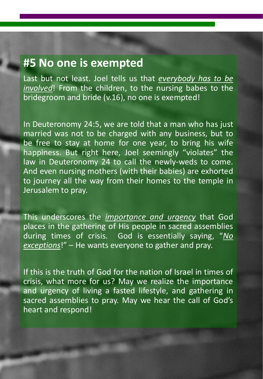### **#5 No one is exempted**

Last but not least. Joel tells us that *everybody has to be involved*! From the children, to the nursing babes to the bridegroom and bride (v.16), no one is exempted!

In Deuteronomy 24:5, we are told that a man who has just married was not to be charged with any business, but to be free to stay at home for one year, to bring his wife happiness. But right here, Joel seemingly "violates" the law in Deuteronomy 24 to call the newly-weds to come. And even nursing mothers (with their babies) are exhorted to journey all the way from their homes to the temple in Jerusalem to pray.

This underscores the *importance and urgency* that God places in the gathering of His people in sacred assemblies during times of crisis. God is essentially saying, "*No exceptions*!" – He wants everyone to gather and pray.

If this is the truth of God for the nation of Israel in times of crisis, what more for us? May we realize the importance and urgency of living a fasted lifestyle, and gathering in sacred assemblies to pray. May we hear the call of God's heart and respond!